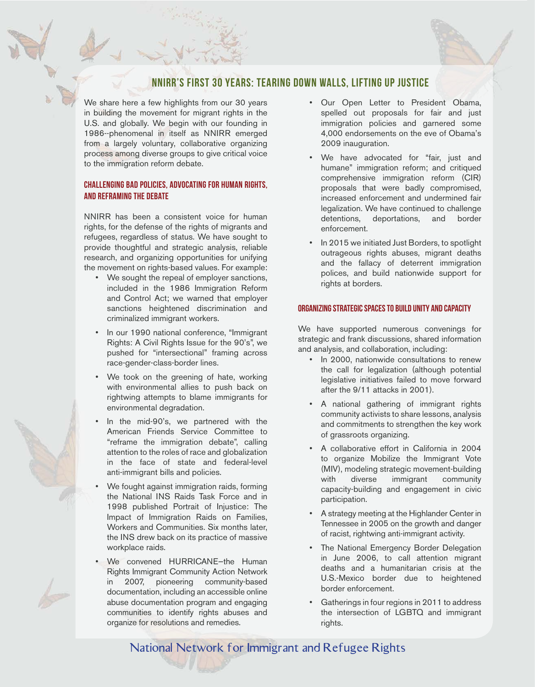# NNIRR's first 30 years: Tearing down walls, lifting up justice

We share here a few highlights from our 30 years in building the movement for migrant rights in the U.S. and globally. We begin with our founding in 1986--phenomenal in itself as NNIRR emerged from a largely voluntary, collaborative organizing process among diverse groups to give critical voice to the immigration reform debate.

## Challenging bad policies, advocating for human rights, and reframing the debate

NNIRR has been a consistent voice for human rights, for the defense of the rights of migrants and refugees, regardless of status. We have sought to provide thoughtful and strategic analysis, reliable research, and organizing opportunities for unifying the movement on rights-based values. For example:

- We sought the repeal of employer sanctions, included in the 1986 Immigration Reform and Control Act; we warned that employer sanctions heightened discrimination and criminalized immigrant workers.
- In our 1990 national conference, "Immigrant Rights: A Civil Rights Issue for the 90's", we pushed for "intersectional" framing across race-gender-class-border lines.
- We took on the greening of hate, working with environmental allies to push back on rightwing attempts to blame immigrants for environmental degradation.
- In the mid-90's, we partnered with the American Friends Service Committee to "reframe the immigration debate", calling attention to the roles of race and globalization in the face of state and federal-level anti-immigrant bills and policies.
- We fought against immigration raids, forming the National INS Raids Task Force and in 1998 published Portrait of Injustice: The Impact of Immigration Raids on Families, Workers and Communities. Six months later, the INS drew back on its practice of massive workplace raids.
- We convened HURRICANE—the Human Rights Immigrant Community Action Network in 2007, pioneering community-based documentation, including an accessible online abuse documentation program and engaging communities to identify rights abuses and organize for resolutions and remedies.
- Our Open Letter to President Obama, spelled out proposals for fair and just immigration policies and garnered some 4,000 endorsements on the eve of Obama's 2009 inauguration.
- We have advocated for "fair, just and humane" immigration reform; and critiqued comprehensive immigration reform (CIR) proposals that were badly compromised, increased enforcement and undermined fair legalization. We have continued to challenge detentions, deportations, and border enforcement.
- In 2015 we initiated Just Borders, to spotlight outrageous rights abuses, migrant deaths and the fallacy of deterrent immigration polices, and build nationwide support for rights at borders.

### Organizing strategic spaces to build unity and capacity

We have supported numerous convenings for strategic and frank discussions, shared information and analysis, and collaboration, including:

- In 2000, nationwide consultations to renew the call for legalization (although potential legislative initiatives failed to move forward after the 9/11 attacks in 2001).
- A national gathering of immigrant rights community activists to share lessons, analysis and commitments to strengthen the key work of grassroots organizing.
- A collaborative effort in California in 2004 to organize Mobilize the Immigrant Vote (MIV), modeling strategic movement-building with diverse immigrant community capacity-building and engagement in civic participation.
- A strategy meeting at the Highlander Center in Tennessee in 2005 on the growth and danger of racist, rightwing anti-immigrant activity.
- The National Emergency Border Delegation in June 2006, to call attention migrant deaths and a humanitarian crisis at the U.S.-Mexico border due to heightened border enforcement.
- Gatherings in four regions in 2011 to address the intersection of LGBTQ and immigrant rights.

National Network for Immigrant and Refugee Rights